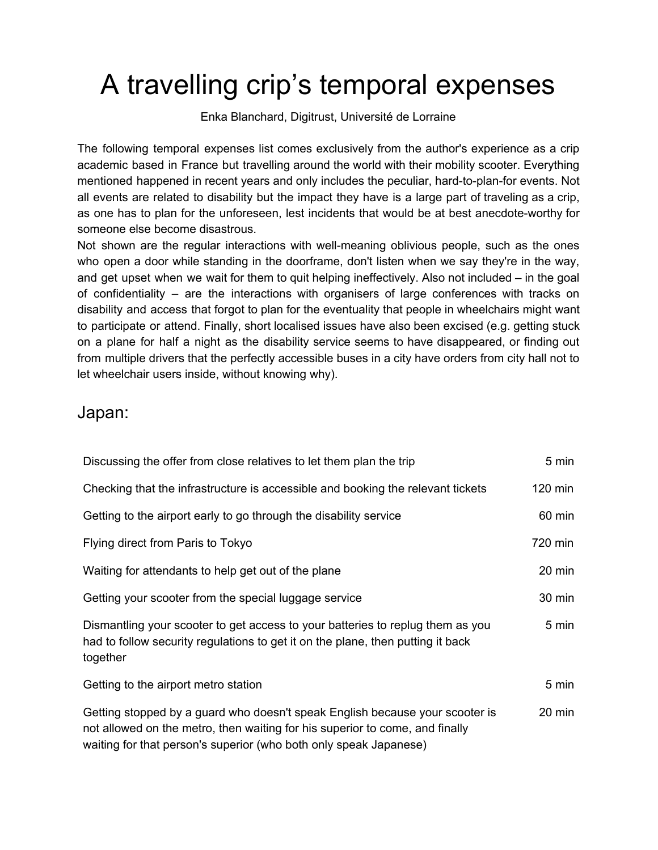# A travelling crip's temporal expenses

Enka Blanchard, Digitrust, Université de Lorraine

The following temporal expenses list comes exclusively from the author's experience as a crip academic based in France but travelling around the world with their mobility scooter. Everything mentioned happened in recent years and only includes the peculiar, hard-to-plan-for events. Not all events are related to disability but the impact they have is a large part of traveling as a crip, as one has to plan for the unforeseen, lest incidents that would be at best anecdote-worthy for someone else become disastrous.

Not shown are the regular interactions with well-meaning oblivious people, such as the ones who open a door while standing in the doorframe, don't listen when we say they're in the way, and get upset when we wait for them to quit helping ineffectively. Also not included – in the goal of confidentiality – are the interactions with organisers of large conferences with tracks on disability and access that forgot to plan for the eventuality that people in wheelchairs might want to participate or attend. Finally, short localised issues have also been excised (e.g. getting stuck on a plane for half a night as the disability service seems to have disappeared, or finding out from multiple drivers that the perfectly accessible buses in a city have orders from city hall not to let wheelchair users inside, without knowing why).

#### Japan:

| Discussing the offer from close relatives to let them plan the trip                                                                                                                                                               | 5 min   |
|-----------------------------------------------------------------------------------------------------------------------------------------------------------------------------------------------------------------------------------|---------|
| Checking that the infrastructure is accessible and booking the relevant tickets                                                                                                                                                   | 120 min |
| Getting to the airport early to go through the disability service                                                                                                                                                                 | 60 min  |
| Flying direct from Paris to Tokyo                                                                                                                                                                                                 | 720 min |
| Waiting for attendants to help get out of the plane                                                                                                                                                                               | 20 min  |
| Getting your scooter from the special luggage service                                                                                                                                                                             | 30 min  |
| Dismantling your scooter to get access to your batteries to replug them as you<br>had to follow security regulations to get it on the plane, then putting it back<br>together                                                     | 5 min   |
| Getting to the airport metro station                                                                                                                                                                                              | 5 min   |
| Getting stopped by a guard who doesn't speak English because your scooter is<br>not allowed on the metro, then waiting for his superior to come, and finally<br>waiting for that person's superior (who both only speak Japanese) | 20 min  |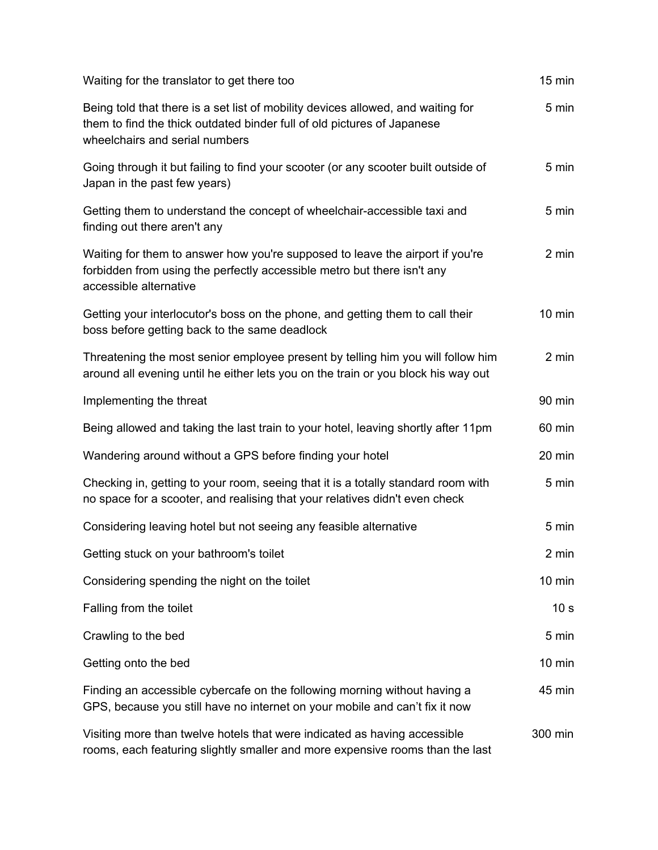| Waiting for the translator to get there too                                                                                                                                                   | $15 \text{ min}$ |
|-----------------------------------------------------------------------------------------------------------------------------------------------------------------------------------------------|------------------|
| Being told that there is a set list of mobility devices allowed, and waiting for<br>them to find the thick outdated binder full of old pictures of Japanese<br>wheelchairs and serial numbers | 5 min            |
| Going through it but failing to find your scooter (or any scooter built outside of<br>Japan in the past few years)                                                                            | 5 min            |
| Getting them to understand the concept of wheelchair-accessible taxi and<br>finding out there aren't any                                                                                      | 5 min            |
| Waiting for them to answer how you're supposed to leave the airport if you're<br>forbidden from using the perfectly accessible metro but there isn't any<br>accessible alternative            | 2 min            |
| Getting your interlocutor's boss on the phone, and getting them to call their<br>boss before getting back to the same deadlock                                                                | $10 \text{ min}$ |
| Threatening the most senior employee present by telling him you will follow him<br>around all evening until he either lets you on the train or you block his way out                          | 2 min            |
| Implementing the threat                                                                                                                                                                       | 90 min           |
| Being allowed and taking the last train to your hotel, leaving shortly after 11pm                                                                                                             | 60 min           |
| Wandering around without a GPS before finding your hotel                                                                                                                                      | 20 min           |
| Checking in, getting to your room, seeing that it is a totally standard room with<br>no space for a scooter, and realising that your relatives didn't even check                              | 5 min            |
| Considering leaving hotel but not seeing any feasible alternative                                                                                                                             | 5 min            |
| Getting stuck on your bathroom's toilet                                                                                                                                                       | 2 min            |
| Considering spending the night on the toilet                                                                                                                                                  | $10 \text{ min}$ |
| Falling from the toilet                                                                                                                                                                       | 10 <sub>s</sub>  |
| Crawling to the bed                                                                                                                                                                           | 5 min            |
| Getting onto the bed                                                                                                                                                                          | $10 \text{ min}$ |
| Finding an accessible cybercafe on the following morning without having a<br>GPS, because you still have no internet on your mobile and can't fix it now                                      | 45 min           |
| Visiting more than twelve hotels that were indicated as having accessible<br>rooms, each featuring slightly smaller and more expensive rooms than the last                                    | 300 min          |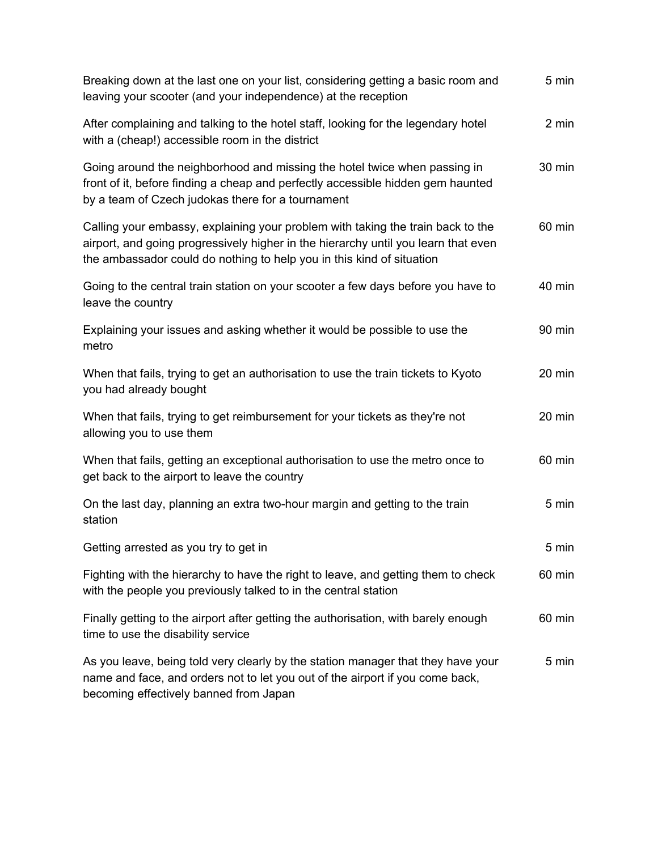| Breaking down at the last one on your list, considering getting a basic room and<br>leaving your scooter (and your independence) at the reception                                                                                              | 5 min  |
|------------------------------------------------------------------------------------------------------------------------------------------------------------------------------------------------------------------------------------------------|--------|
| After complaining and talking to the hotel staff, looking for the legendary hotel<br>with a (cheap!) accessible room in the district                                                                                                           | 2 min  |
| Going around the neighborhood and missing the hotel twice when passing in<br>front of it, before finding a cheap and perfectly accessible hidden gem haunted<br>by a team of Czech judokas there for a tournament                              | 30 min |
| Calling your embassy, explaining your problem with taking the train back to the<br>airport, and going progressively higher in the hierarchy until you learn that even<br>the ambassador could do nothing to help you in this kind of situation | 60 min |
| Going to the central train station on your scooter a few days before you have to<br>leave the country                                                                                                                                          | 40 min |
| Explaining your issues and asking whether it would be possible to use the<br>metro                                                                                                                                                             | 90 min |
| When that fails, trying to get an authorisation to use the train tickets to Kyoto<br>you had already bought                                                                                                                                    | 20 min |
| When that fails, trying to get reimbursement for your tickets as they're not<br>allowing you to use them                                                                                                                                       | 20 min |
| When that fails, getting an exceptional authorisation to use the metro once to<br>get back to the airport to leave the country                                                                                                                 | 60 min |
| On the last day, planning an extra two-hour margin and getting to the train<br>station                                                                                                                                                         | 5 min  |
| Getting arrested as you try to get in                                                                                                                                                                                                          | 5 min  |
| Fighting with the hierarchy to have the right to leave, and getting them to check<br>with the people you previously talked to in the central station                                                                                           | 60 min |
| Finally getting to the airport after getting the authorisation, with barely enough<br>time to use the disability service                                                                                                                       | 60 min |
| As you leave, being told very clearly by the station manager that they have your<br>name and face, and orders not to let you out of the airport if you come back,<br>becoming effectively banned from Japan                                    | 5 min  |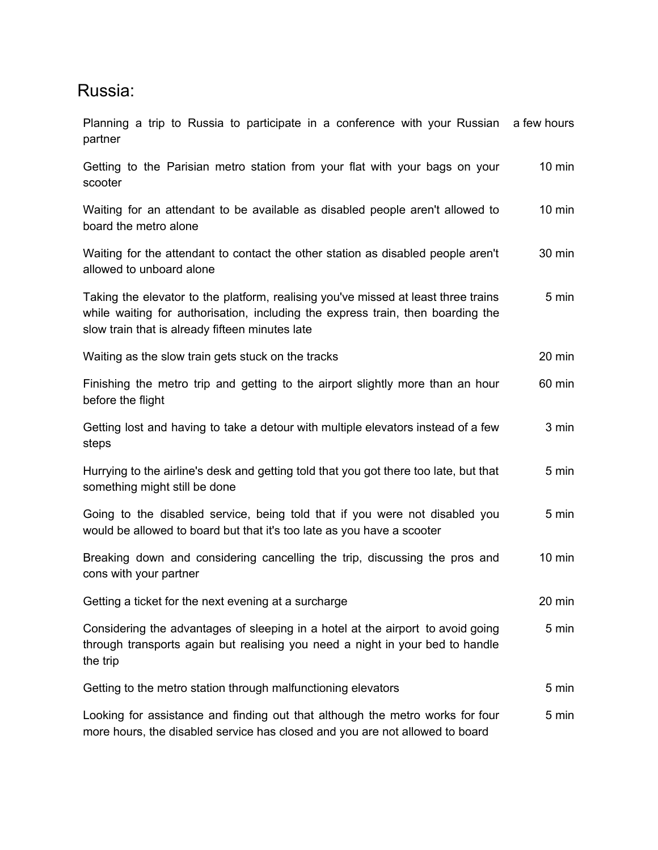#### Russia:

Planning a trip to Russia to participate in a conference with your Russian a few hours partner

Getting to the Parisian metro station from your flat with your bags on your scooter 10 min

Waiting for an attendant to be available as disabled people aren't allowed to board the metro alone 10 min

Waiting for the attendant to contact the other station as disabled people aren't allowed to unboard alone 30 min

Taking the elevator to the platform, realising you've missed at least three trains while waiting for authorisation, including the express train, then boarding the slow train that is already fifteen minutes late 5 min

Waiting as the slow train gets stuck on the tracks **20 minum in the stuck on the tracks** 20 minum values of the tracks of the stuck on the tracks **20 minum values** 20 minum values of the stuck on the tracks **20 minum value** 

Finishing the metro trip and getting to the airport slightly more than an hour before the flight 60 min

Getting lost and having to take a detour with multiple elevators instead of a few steps 3 min

Hurrying to the airline's desk and getting told that you got there too late, but that something might still be done 5 min

Going to the disabled service, being told that if you were not disabled you would be allowed to board but that it's too late as you have a scooter 5 min

Breaking down and considering cancelling the trip, discussing the pros and cons with your partner 10 min

Getting a ticket for the next evening at a surcharge 20 min

Considering the advantages of sleeping in a hotel at the airport to avoid going through transports again but realising you need a night in your bed to handle the trip 5 min

Getting to the metro station through malfunctioning elevators **5** min Looking for assistance and finding out that although the metro works for four 5 min

more hours, the disabled service has closed and you are not allowed to board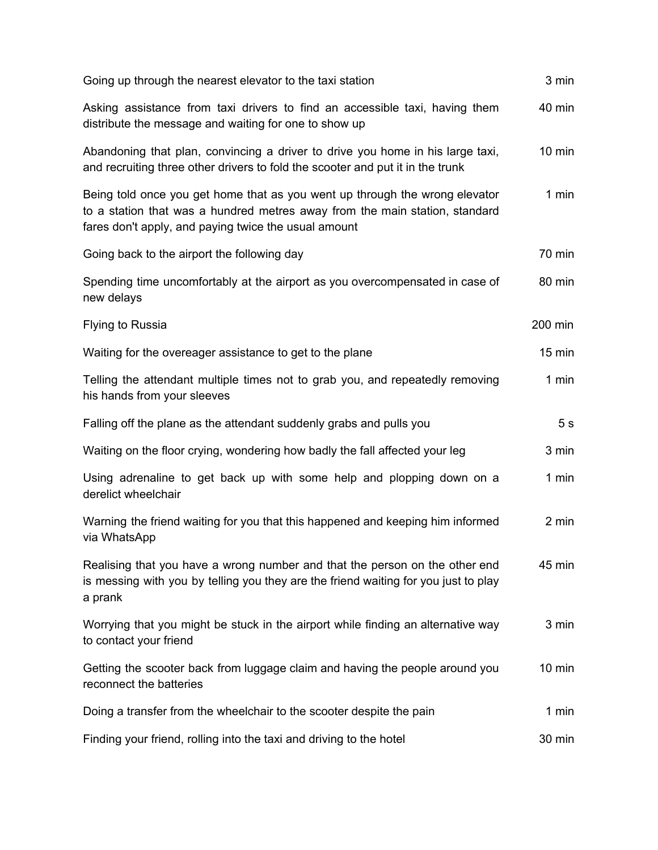| Going up through the nearest elevator to the taxi station                                                                                                                                                          | 3 min            |
|--------------------------------------------------------------------------------------------------------------------------------------------------------------------------------------------------------------------|------------------|
| Asking assistance from taxi drivers to find an accessible taxi, having them<br>distribute the message and waiting for one to show up                                                                               | 40 min           |
| Abandoning that plan, convincing a driver to drive you home in his large taxi,<br>and recruiting three other drivers to fold the scooter and put it in the trunk                                                   | $10 \text{ min}$ |
| Being told once you get home that as you went up through the wrong elevator<br>to a station that was a hundred metres away from the main station, standard<br>fares don't apply, and paying twice the usual amount | 1 min            |
| Going back to the airport the following day                                                                                                                                                                        | 70 min           |
| Spending time uncomfortably at the airport as you overcompensated in case of<br>new delays                                                                                                                         | 80 min           |
| Flying to Russia                                                                                                                                                                                                   | 200 min          |
| Waiting for the overeager assistance to get to the plane                                                                                                                                                           | $15 \text{ min}$ |
| Telling the attendant multiple times not to grab you, and repeatedly removing<br>his hands from your sleeves                                                                                                       | 1 min            |
| Falling off the plane as the attendant suddenly grabs and pulls you                                                                                                                                                | 5 <sub>s</sub>   |
| Waiting on the floor crying, wondering how badly the fall affected your leg                                                                                                                                        | 3 min            |
| Using adrenaline to get back up with some help and plopping down on a<br>derelict wheelchair                                                                                                                       | 1 min            |
| Warning the friend waiting for you that this happened and keeping him informed<br>via WhatsApp                                                                                                                     | 2 min            |
| Realising that you have a wrong number and that the person on the other end<br>is messing with you by telling you they are the friend waiting for you just to play<br>a prank                                      | 45 min           |
| Worrying that you might be stuck in the airport while finding an alternative way<br>to contact your friend                                                                                                         | 3 min            |
| Getting the scooter back from luggage claim and having the people around you<br>reconnect the batteries                                                                                                            | $10 \text{ min}$ |
| Doing a transfer from the wheelchair to the scooter despite the pain                                                                                                                                               | 1 min            |
| Finding your friend, rolling into the taxi and driving to the hotel                                                                                                                                                | 30 min           |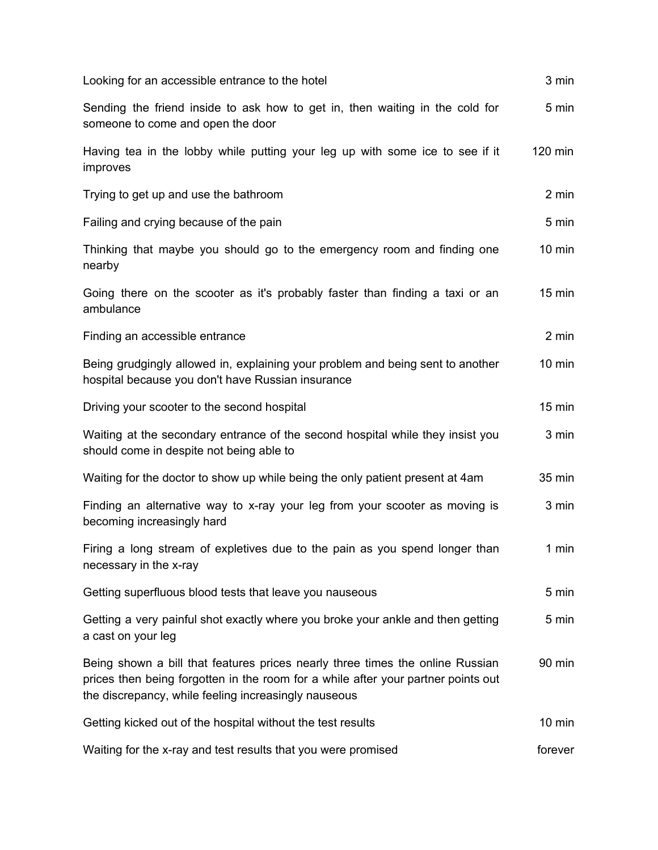| Looking for an accessible entrance to the hotel                                                                                                                                                                            | 3 min            |
|----------------------------------------------------------------------------------------------------------------------------------------------------------------------------------------------------------------------------|------------------|
| Sending the friend inside to ask how to get in, then waiting in the cold for<br>someone to come and open the door                                                                                                          | 5 min            |
| Having tea in the lobby while putting your leg up with some ice to see if it<br>improves                                                                                                                                   | 120 min          |
| Trying to get up and use the bathroom                                                                                                                                                                                      | 2 min            |
| Failing and crying because of the pain                                                                                                                                                                                     | 5 min            |
| Thinking that maybe you should go to the emergency room and finding one<br>nearby                                                                                                                                          | $10 \text{ min}$ |
| Going there on the scooter as it's probably faster than finding a taxi or an<br>ambulance                                                                                                                                  | $15 \text{ min}$ |
| Finding an accessible entrance                                                                                                                                                                                             | 2 min            |
| Being grudgingly allowed in, explaining your problem and being sent to another<br>hospital because you don't have Russian insurance                                                                                        | $10 \text{ min}$ |
| Driving your scooter to the second hospital                                                                                                                                                                                | $15 \text{ min}$ |
| Waiting at the secondary entrance of the second hospital while they insist you<br>should come in despite not being able to                                                                                                 | 3 min            |
| Waiting for the doctor to show up while being the only patient present at 4am                                                                                                                                              | 35 min           |
| Finding an alternative way to x-ray your leg from your scooter as moving is<br>becoming increasingly hard                                                                                                                  | 3 min            |
| Firing a long stream of expletives due to the pain as you spend longer than<br>necessary in the x-ray                                                                                                                      | 1 min            |
| Getting superfluous blood tests that leave you nauseous                                                                                                                                                                    | 5 min            |
| Getting a very painful shot exactly where you broke your ankle and then getting<br>a cast on your leg                                                                                                                      | 5 min            |
| Being shown a bill that features prices nearly three times the online Russian<br>prices then being forgotten in the room for a while after your partner points out<br>the discrepancy, while feeling increasingly nauseous | 90 min           |
| Getting kicked out of the hospital without the test results                                                                                                                                                                | $10 \text{ min}$ |
| Waiting for the x-ray and test results that you were promised                                                                                                                                                              | forever          |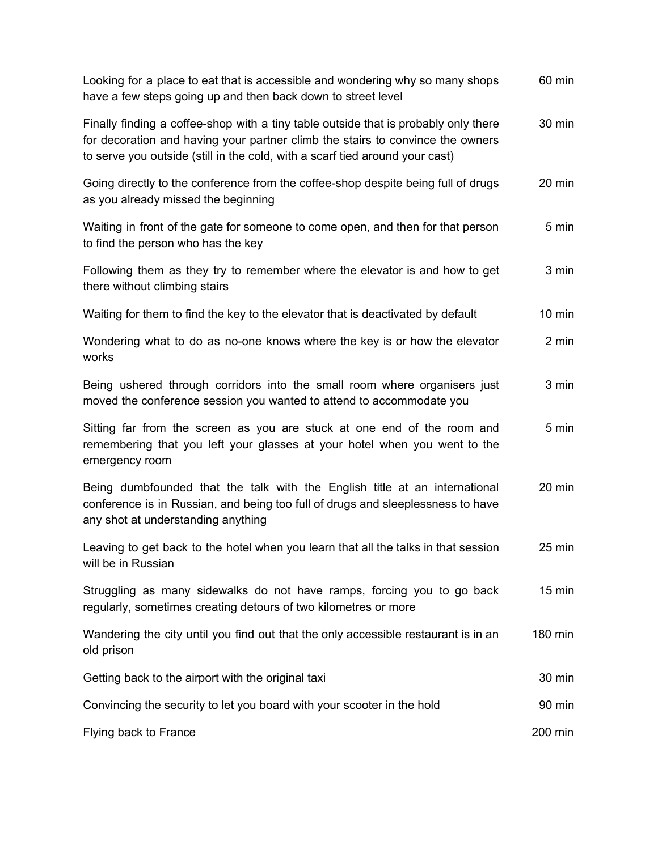| Looking for a place to eat that is accessible and wondering why so many shops<br>have a few steps going up and then back down to street level                                                                                                         | 60 min           |
|-------------------------------------------------------------------------------------------------------------------------------------------------------------------------------------------------------------------------------------------------------|------------------|
| Finally finding a coffee-shop with a tiny table outside that is probably only there<br>for decoration and having your partner climb the stairs to convince the owners<br>to serve you outside (still in the cold, with a scarf tied around your cast) | 30 min           |
| Going directly to the conference from the coffee-shop despite being full of drugs<br>as you already missed the beginning                                                                                                                              | 20 min           |
| Waiting in front of the gate for someone to come open, and then for that person<br>to find the person who has the key                                                                                                                                 | 5 min            |
| Following them as they try to remember where the elevator is and how to get<br>there without climbing stairs                                                                                                                                          | 3 min            |
| Waiting for them to find the key to the elevator that is deactivated by default                                                                                                                                                                       | $10 \text{ min}$ |
| Wondering what to do as no-one knows where the key is or how the elevator<br>works                                                                                                                                                                    | 2 min            |
| Being ushered through corridors into the small room where organisers just<br>moved the conference session you wanted to attend to accommodate you                                                                                                     | 3 min            |
| Sitting far from the screen as you are stuck at one end of the room and<br>remembering that you left your glasses at your hotel when you went to the<br>emergency room                                                                                | 5 min            |
| Being dumbfounded that the talk with the English title at an international<br>conference is in Russian, and being too full of drugs and sleeplessness to have<br>any shot at understanding anything                                                   | 20 min           |
| Leaving to get back to the hotel when you learn that all the talks in that session<br>will be in Russian                                                                                                                                              | 25 min           |
| Struggling as many sidewalks do not have ramps, forcing you to go back<br>regularly, sometimes creating detours of two kilometres or more                                                                                                             | $15$ min         |
| Wandering the city until you find out that the only accessible restaurant is in an<br>old prison                                                                                                                                                      | 180 min          |
| Getting back to the airport with the original taxi                                                                                                                                                                                                    | 30 min           |
| Convincing the security to let you board with your scooter in the hold                                                                                                                                                                                | 90 min           |
| Flying back to France                                                                                                                                                                                                                                 | 200 min          |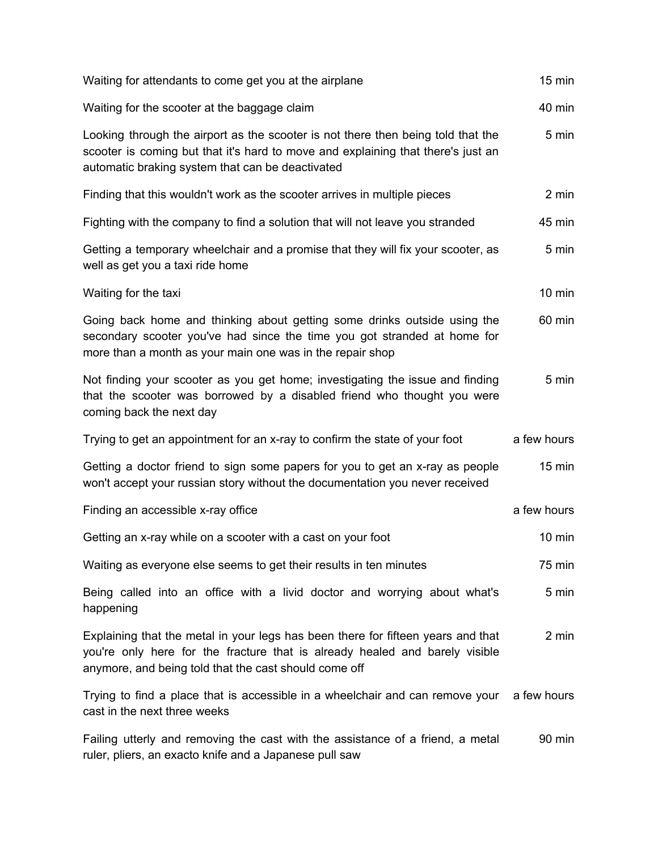| Waiting for attendants to come get you at the airplane                                                                                                                                                                   | 15 min           |
|--------------------------------------------------------------------------------------------------------------------------------------------------------------------------------------------------------------------------|------------------|
| Waiting for the scooter at the baggage claim                                                                                                                                                                             | 40 min           |
| Looking through the airport as the scooter is not there then being told that the<br>scooter is coming but that it's hard to move and explaining that there's just an<br>automatic braking system that can be deactivated | 5 min            |
| Finding that this wouldn't work as the scooter arrives in multiple pieces                                                                                                                                                | 2 min            |
| Fighting with the company to find a solution that will not leave you stranded                                                                                                                                            | 45 min           |
| Getting a temporary wheelchair and a promise that they will fix your scooter, as<br>well as get you a taxi ride home                                                                                                     | 5 min            |
| Waiting for the taxi                                                                                                                                                                                                     | $10 \text{ min}$ |
| Going back home and thinking about getting some drinks outside using the<br>secondary scooter you've had since the time you got stranded at home for<br>more than a month as your main one was in the repair shop        | 60 min           |
| Not finding your scooter as you get home; investigating the issue and finding<br>that the scooter was borrowed by a disabled friend who thought you were<br>coming back the next day                                     | 5 min            |
| Trying to get an appointment for an x-ray to confirm the state of your foot                                                                                                                                              | a few hours      |
| Getting a doctor friend to sign some papers for you to get an x-ray as people<br>won't accept your russian story without the documentation you never received                                                            | $15 \text{ min}$ |
| Finding an accessible x-ray office                                                                                                                                                                                       | a few hours      |
| Getting an x-ray while on a scooter with a cast on your foot                                                                                                                                                             | $10 \text{ min}$ |
| Waiting as everyone else seems to get their results in ten minutes                                                                                                                                                       | 75 min           |
| Being called into an office with a livid doctor and worrying about what's<br>happening                                                                                                                                   | 5 min            |
| Explaining that the metal in your legs has been there for fifteen years and that<br>you're only here for the fracture that is already healed and barely visible<br>anymore, and being told that the cast should come off | 2 min            |
| Trying to find a place that is accessible in a wheelchair and can remove your<br>cast in the next three weeks                                                                                                            | a few hours      |
| Failing utterly and removing the cast with the assistance of a friend, a metal<br>ruler, pliers, an exacto knife and a Japanese pull saw                                                                                 | 90 min           |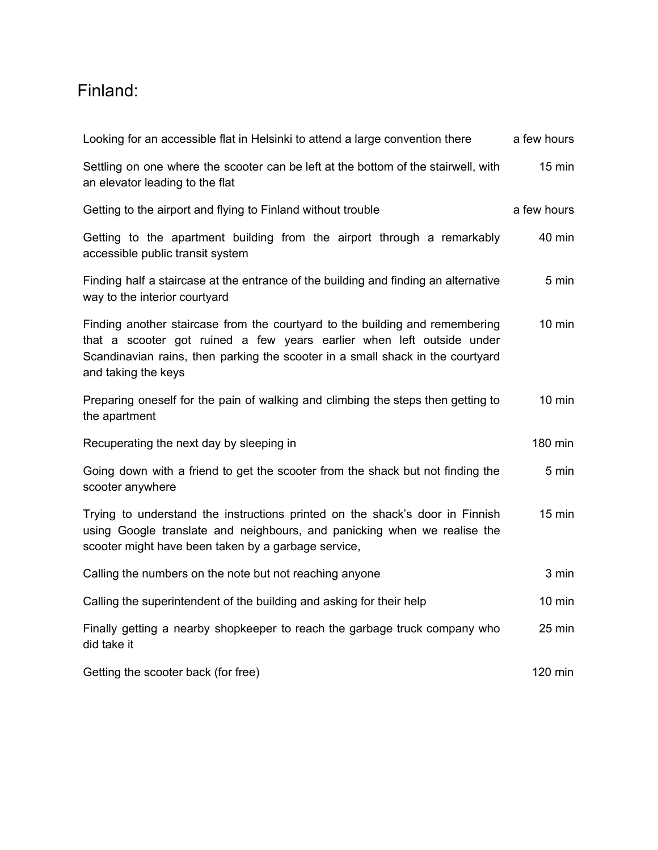### Finland:

| Looking for an accessible flat in Helsinki to attend a large convention there                                                                                                                                                                                  | a few hours      |
|----------------------------------------------------------------------------------------------------------------------------------------------------------------------------------------------------------------------------------------------------------------|------------------|
| Settling on one where the scooter can be left at the bottom of the stairwell, with<br>an elevator leading to the flat                                                                                                                                          | $15$ min         |
| Getting to the airport and flying to Finland without trouble                                                                                                                                                                                                   | a few hours      |
| Getting to the apartment building from the airport through a remarkably<br>accessible public transit system                                                                                                                                                    | 40 min           |
| Finding half a staircase at the entrance of the building and finding an alternative<br>way to the interior courtyard                                                                                                                                           | 5 min            |
| Finding another staircase from the courtyard to the building and remembering<br>that a scooter got ruined a few years earlier when left outside under<br>Scandinavian rains, then parking the scooter in a small shack in the courtyard<br>and taking the keys | $10 \text{ min}$ |
| Preparing oneself for the pain of walking and climbing the steps then getting to<br>the apartment                                                                                                                                                              | $10 \text{ min}$ |
| Recuperating the next day by sleeping in                                                                                                                                                                                                                       | 180 min          |
| Going down with a friend to get the scooter from the shack but not finding the<br>scooter anywhere                                                                                                                                                             | 5 min            |
| Trying to understand the instructions printed on the shack's door in Finnish<br>using Google translate and neighbours, and panicking when we realise the<br>scooter might have been taken by a garbage service,                                                | $15$ min         |
| Calling the numbers on the note but not reaching anyone                                                                                                                                                                                                        | 3 min            |
| Calling the superintendent of the building and asking for their help                                                                                                                                                                                           | $10 \text{ min}$ |
| Finally getting a nearby shopkeeper to reach the garbage truck company who<br>did take it                                                                                                                                                                      | 25 min           |
| Getting the scooter back (for free)                                                                                                                                                                                                                            | $120$ min        |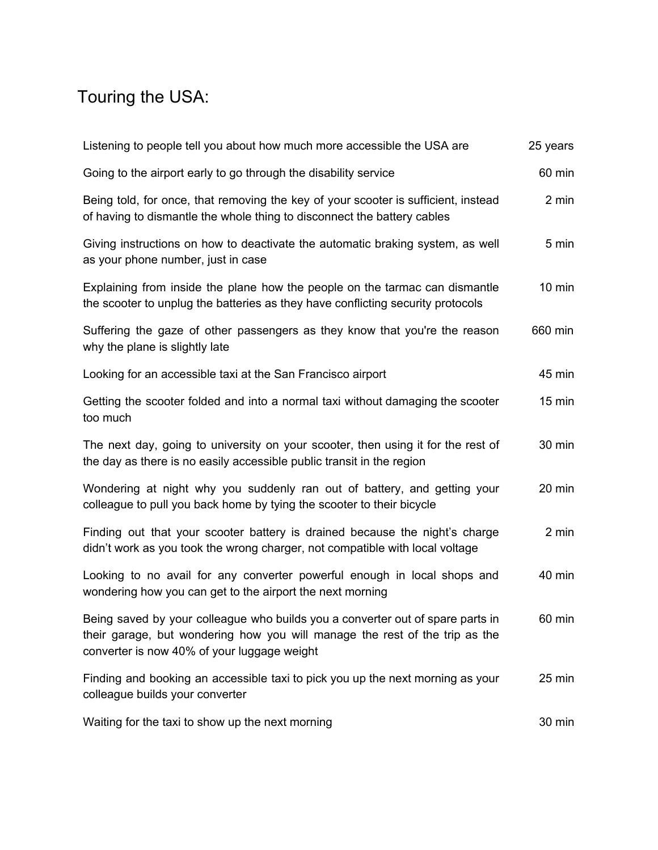## Touring the USA:

| Listening to people tell you about how much more accessible the USA are                                                                                                                                      | 25 years         |
|--------------------------------------------------------------------------------------------------------------------------------------------------------------------------------------------------------------|------------------|
| Going to the airport early to go through the disability service                                                                                                                                              | 60 min           |
| Being told, for once, that removing the key of your scooter is sufficient, instead<br>of having to dismantle the whole thing to disconnect the battery cables                                                | 2 min            |
| Giving instructions on how to deactivate the automatic braking system, as well<br>as your phone number, just in case                                                                                         | 5 min            |
| Explaining from inside the plane how the people on the tarmac can dismantle<br>the scooter to unplug the batteries as they have conflicting security protocols                                               | $10$ min         |
| Suffering the gaze of other passengers as they know that you're the reason<br>why the plane is slightly late                                                                                                 | 660 min          |
| Looking for an accessible taxi at the San Francisco airport                                                                                                                                                  | 45 min           |
| Getting the scooter folded and into a normal taxi without damaging the scooter<br>too much                                                                                                                   | $15 \text{ min}$ |
| The next day, going to university on your scooter, then using it for the rest of<br>the day as there is no easily accessible public transit in the region                                                    | 30 min           |
| Wondering at night why you suddenly ran out of battery, and getting your<br>colleague to pull you back home by tying the scooter to their bicycle                                                            | 20 min           |
| Finding out that your scooter battery is drained because the night's charge<br>didn't work as you took the wrong charger, not compatible with local voltage                                                  | 2 min            |
| Looking to no avail for any converter powerful enough in local shops and<br>wondering how you can get to the airport the next morning                                                                        | 40 min           |
| Being saved by your colleague who builds you a converter out of spare parts in<br>their garage, but wondering how you will manage the rest of the trip as the<br>converter is now 40% of your luggage weight | 60 min           |
| Finding and booking an accessible taxi to pick you up the next morning as your<br>colleague builds your converter                                                                                            | 25 min           |
| Waiting for the taxi to show up the next morning                                                                                                                                                             | 30 min           |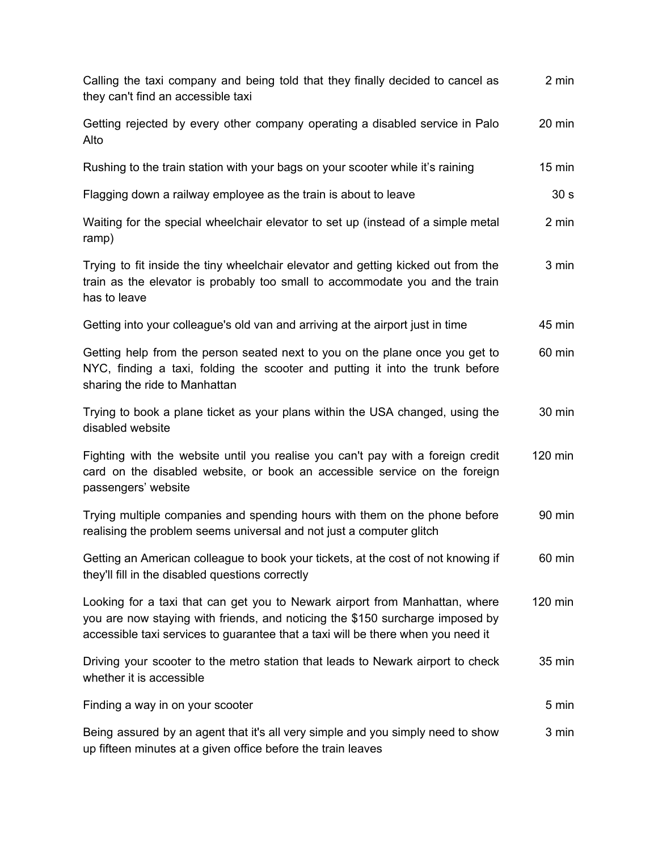| Calling the taxi company and being told that they finally decided to cancel as<br>they can't find an accessible taxi                                                                                                                             | 2 min            |
|--------------------------------------------------------------------------------------------------------------------------------------------------------------------------------------------------------------------------------------------------|------------------|
| Getting rejected by every other company operating a disabled service in Palo<br>Alto                                                                                                                                                             | 20 min           |
| Rushing to the train station with your bags on your scooter while it's raining                                                                                                                                                                   | $15 \text{ min}$ |
| Flagging down a railway employee as the train is about to leave                                                                                                                                                                                  | 30 <sub>s</sub>  |
| Waiting for the special wheelchair elevator to set up (instead of a simple metal<br>ramp)                                                                                                                                                        | 2 min            |
| Trying to fit inside the tiny wheelchair elevator and getting kicked out from the<br>train as the elevator is probably too small to accommodate you and the train<br>has to leave                                                                | 3 min            |
| Getting into your colleague's old van and arriving at the airport just in time                                                                                                                                                                   | 45 min           |
| Getting help from the person seated next to you on the plane once you get to<br>NYC, finding a taxi, folding the scooter and putting it into the trunk before<br>sharing the ride to Manhattan                                                   | 60 min           |
| Trying to book a plane ticket as your plans within the USA changed, using the<br>disabled website                                                                                                                                                | 30 min           |
| Fighting with the website until you realise you can't pay with a foreign credit<br>card on the disabled website, or book an accessible service on the foreign<br>passengers' website                                                             | 120 min          |
| Trying multiple companies and spending hours with them on the phone before<br>realising the problem seems universal and not just a computer glitch                                                                                               | 90 min           |
| Getting an American colleague to book your tickets, at the cost of not knowing if<br>they'll fill in the disabled questions correctly                                                                                                            | 60 min           |
| Looking for a taxi that can get you to Newark airport from Manhattan, where<br>you are now staying with friends, and noticing the \$150 surcharge imposed by<br>accessible taxi services to guarantee that a taxi will be there when you need it | 120 min          |
| Driving your scooter to the metro station that leads to Newark airport to check<br>whether it is accessible                                                                                                                                      | 35 min           |
| Finding a way in on your scooter                                                                                                                                                                                                                 | 5 min            |
| Being assured by an agent that it's all very simple and you simply need to show<br>up fifteen minutes at a given office before the train leaves                                                                                                  | 3 min            |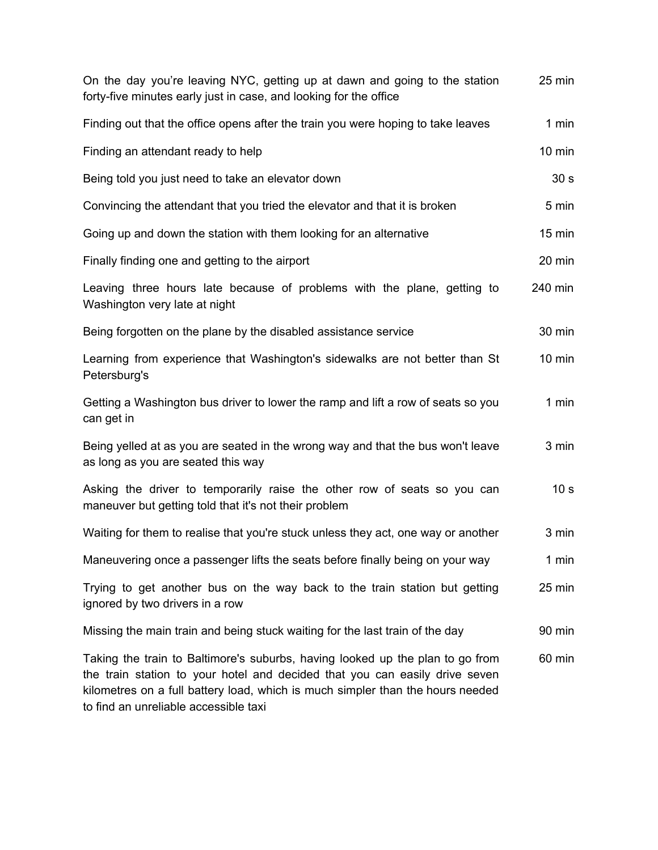| On the day you're leaving NYC, getting up at dawn and going to the station<br>forty-five minutes early just in case, and looking for the office                                                                                                                                         | 25 min           |
|-----------------------------------------------------------------------------------------------------------------------------------------------------------------------------------------------------------------------------------------------------------------------------------------|------------------|
| Finding out that the office opens after the train you were hoping to take leaves                                                                                                                                                                                                        | 1 min            |
| Finding an attendant ready to help                                                                                                                                                                                                                                                      | $10 \text{ min}$ |
| Being told you just need to take an elevator down                                                                                                                                                                                                                                       | 30 <sub>s</sub>  |
| Convincing the attendant that you tried the elevator and that it is broken                                                                                                                                                                                                              | 5 min            |
| Going up and down the station with them looking for an alternative                                                                                                                                                                                                                      | $15 \text{ min}$ |
| Finally finding one and getting to the airport                                                                                                                                                                                                                                          | 20 min           |
| Leaving three hours late because of problems with the plane, getting to<br>Washington very late at night                                                                                                                                                                                | 240 min          |
| Being forgotten on the plane by the disabled assistance service                                                                                                                                                                                                                         | 30 min           |
| Learning from experience that Washington's sidewalks are not better than St<br>Petersburg's                                                                                                                                                                                             | $10 \text{ min}$ |
| Getting a Washington bus driver to lower the ramp and lift a row of seats so you<br>can get in                                                                                                                                                                                          | 1 min            |
| Being yelled at as you are seated in the wrong way and that the bus won't leave<br>as long as you are seated this way                                                                                                                                                                   | 3 min            |
| Asking the driver to temporarily raise the other row of seats so you can<br>maneuver but getting told that it's not their problem                                                                                                                                                       | 10 <sub>s</sub>  |
| Waiting for them to realise that you're stuck unless they act, one way or another                                                                                                                                                                                                       | 3 min            |
| Maneuvering once a passenger lifts the seats before finally being on your way                                                                                                                                                                                                           | 1 min            |
| Trying to get another bus on the way back to the train station but getting<br>ignored by two drivers in a row                                                                                                                                                                           | 25 min           |
| Missing the main train and being stuck waiting for the last train of the day                                                                                                                                                                                                            | 90 min           |
| Taking the train to Baltimore's suburbs, having looked up the plan to go from<br>the train station to your hotel and decided that you can easily drive seven<br>kilometres on a full battery load, which is much simpler than the hours needed<br>to find an unreliable accessible taxi | 60 min           |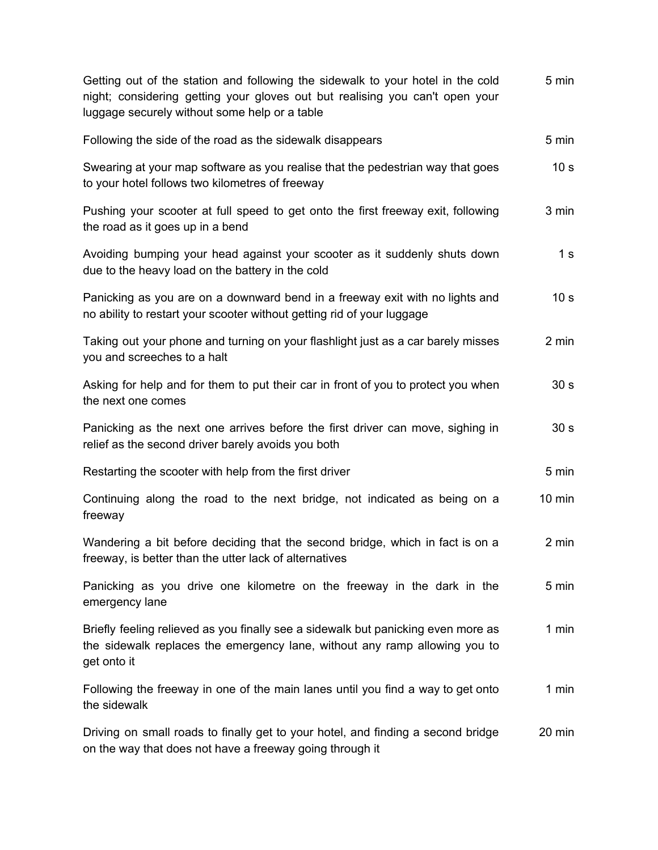| Getting out of the station and following the sidewalk to your hotel in the cold<br>night; considering getting your gloves out but realising you can't open your<br>luggage securely without some help or a table | 5 min            |
|------------------------------------------------------------------------------------------------------------------------------------------------------------------------------------------------------------------|------------------|
| Following the side of the road as the sidewalk disappears                                                                                                                                                        | 5 min            |
| Swearing at your map software as you realise that the pedestrian way that goes<br>to your hotel follows two kilometres of freeway                                                                                | 10 <sub>s</sub>  |
| Pushing your scooter at full speed to get onto the first freeway exit, following<br>the road as it goes up in a bend                                                                                             | 3 min            |
| Avoiding bumping your head against your scooter as it suddenly shuts down<br>due to the heavy load on the battery in the cold                                                                                    | 1 <sub>s</sub>   |
| Panicking as you are on a downward bend in a freeway exit with no lights and<br>no ability to restart your scooter without getting rid of your luggage                                                           | 10 <sub>s</sub>  |
| Taking out your phone and turning on your flashlight just as a car barely misses<br>you and screeches to a halt                                                                                                  | 2 min            |
| Asking for help and for them to put their car in front of you to protect you when<br>the next one comes                                                                                                          | 30 <sub>s</sub>  |
| Panicking as the next one arrives before the first driver can move, sighing in<br>relief as the second driver barely avoids you both                                                                             | 30 <sub>s</sub>  |
| Restarting the scooter with help from the first driver                                                                                                                                                           | 5 min            |
| Continuing along the road to the next bridge, not indicated as being on a<br>freeway                                                                                                                             | $10 \text{ min}$ |
| Wandering a bit before deciding that the second bridge, which in fact is on a<br>freeway, is better than the utter lack of alternatives                                                                          | 2 min            |
| Panicking as you drive one kilometre on the freeway in the dark in the<br>emergency lane                                                                                                                         | 5 min            |
| Briefly feeling relieved as you finally see a sidewalk but panicking even more as<br>the sidewalk replaces the emergency lane, without any ramp allowing you to<br>get onto it                                   | 1 min            |
| Following the freeway in one of the main lanes until you find a way to get onto<br>the sidewalk                                                                                                                  | 1 min            |
| Driving on small roads to finally get to your hotel, and finding a second bridge<br>on the way that does not have a freeway going through it                                                                     | 20 min           |